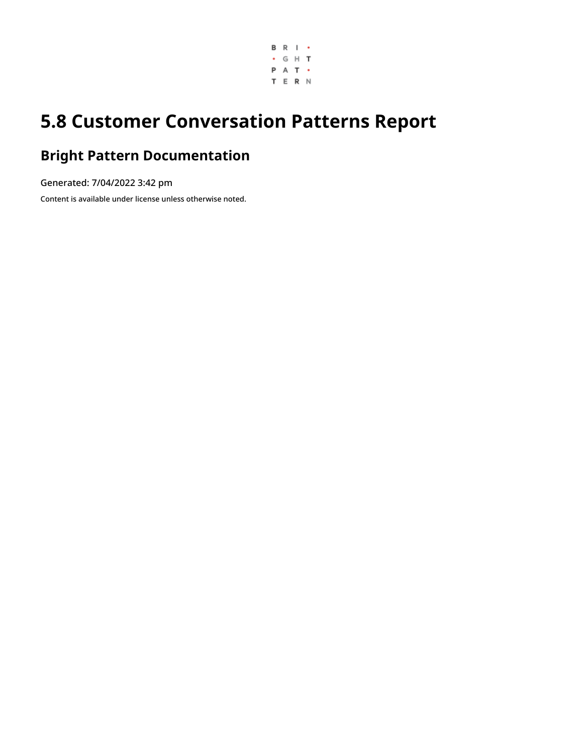

# **5.8 Customer Conversation Patterns Report**

## **Bright Pattern Documentation**

Generated: 7/04/2022 3:42 pm

Content is available under license unless otherwise noted.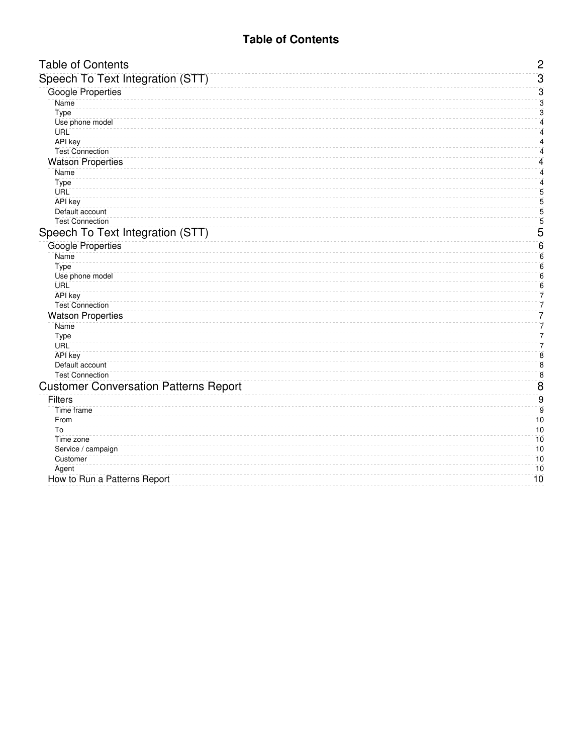#### **Table of Contents**

<span id="page-1-0"></span>

| <b>Table of Contents</b>                     | $\overline{c}$          |
|----------------------------------------------|-------------------------|
| Speech To Text Integration (STT)             | $\overline{3}$          |
| <b>Google Properties</b>                     | 3                       |
| Name                                         | 3                       |
| Type                                         | 3                       |
| Use phone model                              | 4                       |
| <b>URL</b>                                   | $\overline{\mathbf{4}}$ |
| <b>API</b> key                               | $\overline{\mathbf{4}}$ |
| <b>Test Connection</b>                       | 4                       |
| <b>Watson Properties</b>                     | $\overline{\mathbf{4}}$ |
| Name                                         | 4                       |
| Type                                         | 4                       |
| <b>URL</b>                                   | 5                       |
| <b>API</b> key                               | $\overline{5}$          |
| Default account                              | 5                       |
| <b>Test Connection</b>                       | 5                       |
| Speech To Text Integration (STT)             | 5                       |
| <b>Google Properties</b>                     | $\overline{6}$          |
| Name                                         | $\overline{6}$          |
| Type                                         | $\overline{6}$          |
| Use phone model                              | $\overline{6}$          |
| <b>URL</b>                                   | 6                       |
| <b>API</b> key                               | 7                       |
| <b>Test Connection</b>                       | $\overline{7}$          |
| <b>Watson Properties</b>                     | 7                       |
| Name                                         | 7                       |
| Type                                         | 7<br>7                  |
| <b>URL</b><br><b>API</b> key                 | $\overline{8}$          |
| Default account                              | $\overline{8}$          |
| <b>Test Connection</b>                       | $\overline{\bf 8}$      |
| <b>Customer Conversation Patterns Report</b> | $\overline{8}$          |
| Filters                                      | $\overline{9}$          |
| Time frame                                   | $\overline{9}$          |
| From                                         | 10                      |
| To                                           | 10                      |
| Time zone                                    | 10                      |
| Service / campaign                           | 10                      |
| Customer                                     | 10                      |
| Agent                                        | 10                      |
| How to Run a Patterns Report                 | 10                      |
|                                              |                         |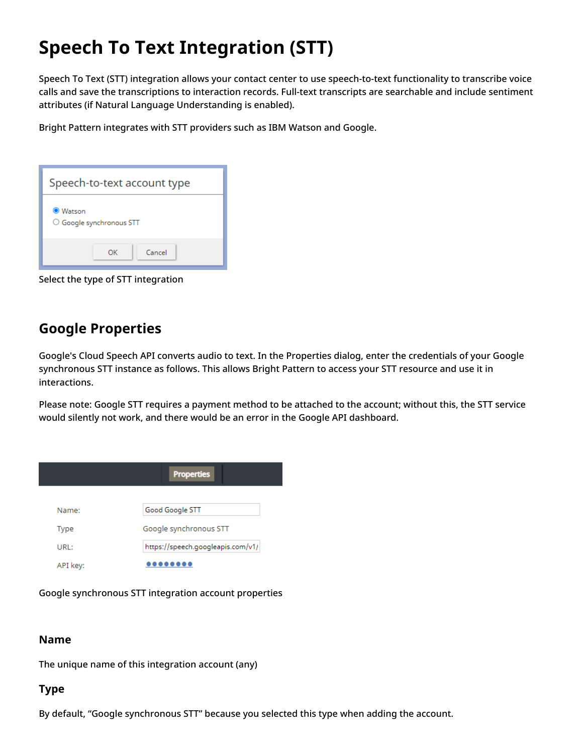# <span id="page-2-0"></span>**Speech To Text Integration (STT)**

Speech To Text (STT) integration allows your contact center to use speech-to-text functionality to transcribe voice calls and save the transcriptions to interaction records. Full-text transcripts are searchable and include sentiment attributes (if Natural Language Understanding is enabled).

Bright Pattern integrates with STT providers such as IBM Watson and Google.

| Speech-to-text account type |                                |        |  |  |
|-----------------------------|--------------------------------|--------|--|--|
| <b>O</b> Watson             | $\circ$ Google synchronous STT |        |  |  |
|                             | OK                             | Cancel |  |  |

Select the type of STT integration

## <span id="page-2-1"></span>**Google Properties**

Google's Cloud Speech API converts audio to text. In the Properties dialog, enter the credentials of your Google synchronous STT instance as follows. This allows Bright Pattern to access your STT resource and use it in interactions.

Please note: Google STT requires a payment method to be attached to the account; without this, the STT service would silently not work, and there would be an error in the Google API dashboard.

|          | <b>Properties</b>                 |
|----------|-----------------------------------|
| Name:    | Good Google STT                   |
| Type     | Google synchronous STT            |
| URL:     | https://speech.googleapis.com/v1/ |
| API key: |                                   |

Google synchronous STT integration account properties

#### <span id="page-2-2"></span>**Name**

The unique name of this integration account (any)

#### <span id="page-2-3"></span>**Type**

By default, "Google synchronous STT" because you selected this type when adding the account.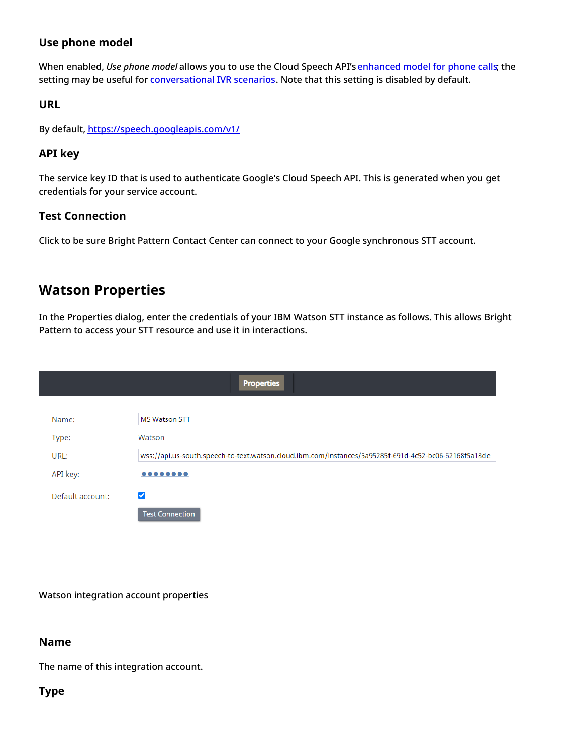#### <span id="page-3-0"></span>**Use phone model**

When enabled, *Use phone model* allows you to use the Cloud Speech API's [enhanced](https://cloud.google.com/speech-to-text/docs/enhanced-models) model for phone calls; the setting may be useful for **[conversational](https://help.brightpattern.com/5.8:Reporting-reference-guide/CustomerConversationPatternsReport/?action=html-localimages-export#topic_tutorials-for-admins.2Fvoice.2Fconversationalivrconfiguration) IVR scenarios**. Note that this setting is disabled by default.

#### <span id="page-3-1"></span>**URL**

By default, <https://speech.googleapis.com/v1/>

#### <span id="page-3-2"></span>**API key**

The service key ID that is used to authenticate Google's Cloud Speech API. This is generated when you get credentials for your service account.

#### <span id="page-3-3"></span>**Test Connection**

Click to be sure Bright Pattern Contact Center can connect to your Google synchronous STT account.

### <span id="page-3-4"></span>**Watson Properties**

In the Properties dialog, enter the credentials of your IBM Watson STT instance as follows. This allows Bright Pattern to access your STT resource and use it in interactions.

|                  | <b>Properties</b>                                                                                     |
|------------------|-------------------------------------------------------------------------------------------------------|
|                  |                                                                                                       |
| Name:            | <b>MS Watson STT</b>                                                                                  |
| Type:            | Watson                                                                                                |
| URL:             | wss://api.us-south.speech-to-text.watson.cloud.ibm.com/instances/5a95285f-691d-4c52-bc06-62168f5a18de |
| API key:         | $0 0 0 0 0 0 0 0 0$                                                                                   |
| Default account: | ✓                                                                                                     |
|                  | <b>Test Connection</b>                                                                                |

Watson integration account properties

#### <span id="page-3-5"></span>**Name**

The name of this integration account.

#### <span id="page-3-6"></span>**Type**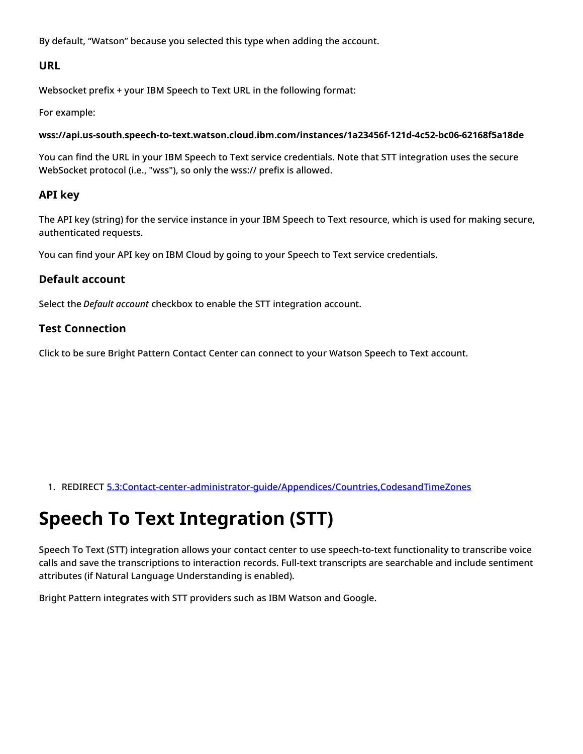By default, "Watson" because you selected this type when adding the account.

#### <span id="page-4-0"></span>**URL**

Websocket prefix + your IBM Speech to Text URL in the following format:

For example:

**wss://api.us-south.speech-to-text.watson.cloud.ibm.com/instances/1a23456f-121d-4c52-bc06-62168f5a18de**

You can find the URL in your IBM Speech to Text service credentials. Note that STT integration uses the secure WebSocket protocol (i.e., "wss"), so only the wss:// prefix is allowed.

#### <span id="page-4-1"></span>**API key**

The API key (string) for the service instance in your IBM Speech to Text resource, which is used for making secure, authenticated requests.

You can find your API key on IBM Cloud by going to your Speech to Text service credentials.

#### <span id="page-4-2"></span>**Default account**

Select the *Default account* checkbox to enable the STT integration account.

#### <span id="page-4-3"></span>**Test Connection**

Click to be sure Bright Pattern Contact Center can connect to your Watson Speech to Text account.

1. REDIRECT [5.3:Contact-center-administrator-guide/Appendices/Countries,CodesandTimeZones](https://help.brightpattern.com/5.3:Contact-center-administrator-guide/Appendices/Countries,CodesandTimeZones)

# <span id="page-4-4"></span>**Speech To Text Integration (STT)**

Speech To Text (STT) integration allows your contact center to use speech-to-text functionality to transcribe voice calls and save the transcriptions to interaction records. Full-text transcripts are searchable and include sentiment attributes (if Natural Language Understanding is enabled).

Bright Pattern integrates with STT providers such as IBM Watson and Google.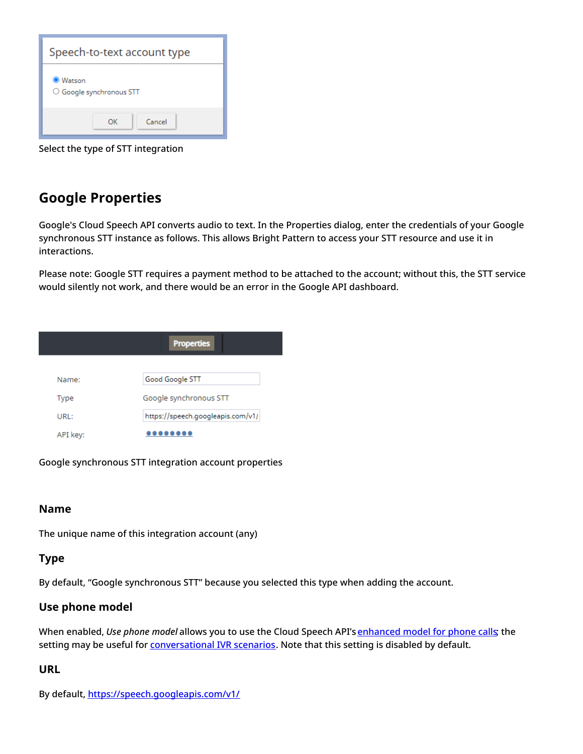

Select the type of STT integration

## <span id="page-5-0"></span>**Google Properties**

Google's Cloud Speech API converts audio to text. In the Properties dialog, enter the credentials of your Google synchronous STT instance as follows. This allows Bright Pattern to access your STT resource and use it in interactions.

Please note: Google STT requires a payment method to be attached to the account; without this, the STT service would silently not work, and there would be an error in the Google API dashboard.

| <b>Properties</b> |                                   |  |  |  |  |
|-------------------|-----------------------------------|--|--|--|--|
|                   |                                   |  |  |  |  |
| Name:             | Good Google STT                   |  |  |  |  |
| Type              | Google synchronous STT            |  |  |  |  |
| URL:              | https://speech.googleapis.com/v1/ |  |  |  |  |
| API key:          |                                   |  |  |  |  |

Google synchronous STT integration account properties

#### <span id="page-5-1"></span>**Name**

The unique name of this integration account (any)

#### <span id="page-5-2"></span>**Type**

By default, "Google synchronous STT" because you selected this type when adding the account.

#### <span id="page-5-3"></span>**Use phone model**

When enabled, *Use phone model* allows you to use the Cloud Speech API's [enhanced](https://cloud.google.com/speech-to-text/docs/enhanced-models) model for phone calls; the setting may be useful for **[conversational](https://help.brightpattern.com/5.8:Reporting-reference-guide/CustomerConversationPatternsReport/?action=html-localimages-export#topic_tutorials-for-admins.2Fvoice.2Fconversationalivrconfiguration) IVR scenarios**. Note that this setting is disabled by default.

#### <span id="page-5-4"></span>**URL**

By default, <https://speech.googleapis.com/v1/>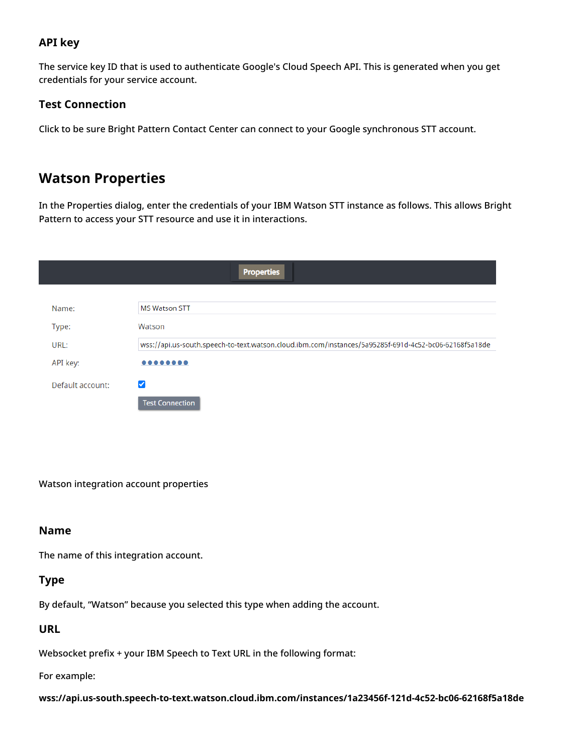#### <span id="page-6-0"></span>**API key**

The service key ID that is used to authenticate Google's Cloud Speech API. This is generated when you get credentials for your service account.

#### <span id="page-6-1"></span>**Test Connection**

Click to be sure Bright Pattern Contact Center can connect to your Google synchronous STT account.

### <span id="page-6-2"></span>**Watson Properties**

In the Properties dialog, enter the credentials of your IBM Watson STT instance as follows. This allows Bright Pattern to access your STT resource and use it in interactions.

|                  | <b>Properties</b>                                                                                     |
|------------------|-------------------------------------------------------------------------------------------------------|
|                  |                                                                                                       |
| Name:            | <b>MS Watson STT</b>                                                                                  |
| Type:            | Watson                                                                                                |
| URL:             | wss://api.us-south.speech-to-text.watson.cloud.ibm.com/instances/5a95285f-691d-4c52-bc06-62168f5a18de |
| API key:         |                                                                                                       |
| Default account: | ✓                                                                                                     |
|                  | <b>Test Connection</b>                                                                                |

Watson integration account properties

#### <span id="page-6-3"></span>**Name**

The name of this integration account.

#### <span id="page-6-4"></span>**Type**

By default, "Watson" because you selected this type when adding the account.

#### <span id="page-6-5"></span>**URL**

Websocket prefix + your IBM Speech to Text URL in the following format:

For example:

**wss://api.us-south.speech-to-text.watson.cloud.ibm.com/instances/1a23456f-121d-4c52-bc06-62168f5a18de**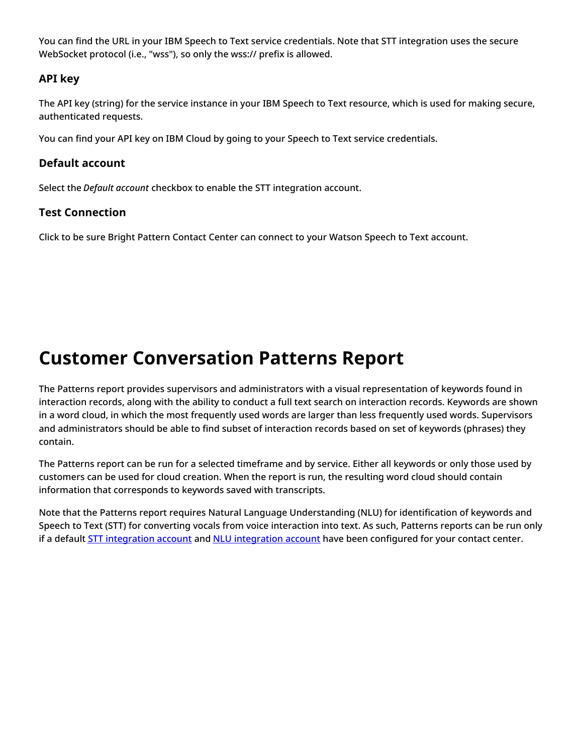You can find the URL in your IBM Speech to Text service credentials. Note that STT integration uses the secure WebSocket protocol (i.e., "wss"), so only the wss:// prefix is allowed.

#### <span id="page-7-0"></span>**API key**

The API key (string) for the service instance in your IBM Speech to Text resource, which is used for making secure, authenticated requests.

You can find your API key on IBM Cloud by going to your Speech to Text service credentials.

#### <span id="page-7-1"></span>**Default account**

Select the *Default account* checkbox to enable the STT integration account.

#### <span id="page-7-2"></span>**Test Connection**

Click to be sure Bright Pattern Contact Center can connect to your Watson Speech to Text account.

# <span id="page-7-3"></span>**Customer Conversation Patterns Report**

The Patterns report provides supervisors and administrators with a visual representation of keywords found in interaction records, along with the ability to conduct a full text search on interaction records. Keywords are shown in a word cloud, in which the most frequently used words are larger than less frequently used words. Supervisors and administrators should be able to find subset of interaction records based on set of keywords (phrases) they contain.

The Patterns report can be run for a selected timeframe and by service. Either all keywords or only those used by customers can be used for cloud creation. When the report is run, the resulting word cloud should contain information that corresponds to keywords saved with transcripts.

Note that the Patterns report requires Natural Language Understanding (NLU) for identification of keywords and Speech to Text (STT) for converting vocals from voice interaction into text. As such, Patterns reports can be run only if a default STT [integration](https://help.brightpattern.com/5.8:Reporting-reference-guide/CustomerConversationPatternsReport/?action=html-localimages-export#topic_contact-center-administrator-guide.2Fcallcenterconfiguration.2Fintegrationaccounts.2Fnaturallanguageunderstanding) account and NLU integration account have been configured for your contact center.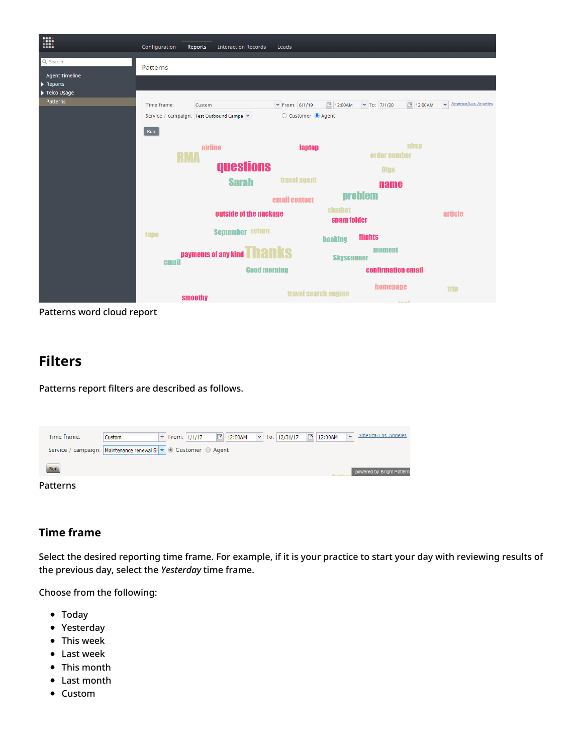

Patterns word cloud report

### <span id="page-8-0"></span>**Filters**

Patterns report filters are described as follows.

| Time frame:     | Custom                                                          | $\mathsf{v}$ From: $1/1/17$ | <b>12:00AM</b> $\blacktriangleright$ To: 12/31/17 | $\boxed{9}$ 12:00AM | America/Los_Angeles<br>$\sim$ |
|-----------------|-----------------------------------------------------------------|-----------------------------|---------------------------------------------------|---------------------|-------------------------------|
|                 | Service / campaign: Maintenance renewal SI v © Customer © Agent |                             |                                                   |                     |                               |
| Run             |                                                                 |                             |                                                   |                     | powered by Bright Pattern     |
| <b>Patterns</b> |                                                                 |                             |                                                   |                     |                               |

#### <span id="page-8-1"></span>**Time frame**

Select the desired reporting time frame. For example, if it is your practice to start your day with reviewing results of the previous day, select the *Yesterday* time frame.

Choose from the following:

- Today
- Yesterday
- This week
- Last week
- This month
- $\bullet$ Last month
- Custom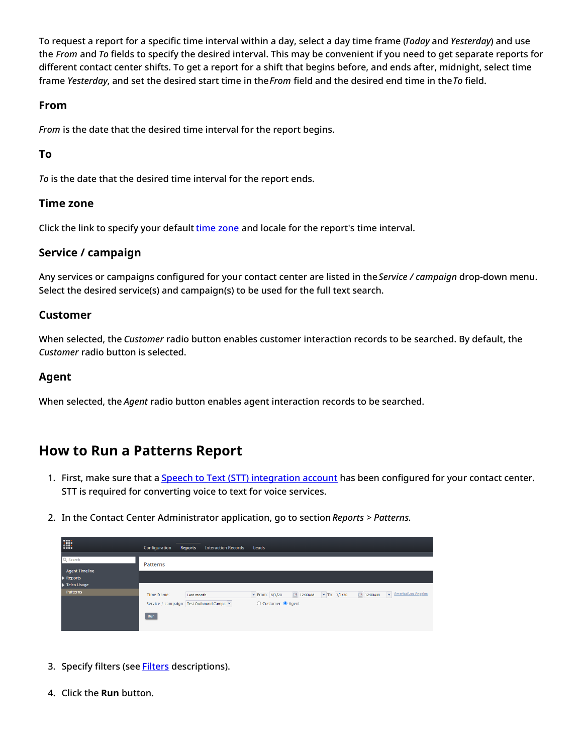To request a report for a specific time interval within a day, select a day time frame (*Today* and *Yesterday*) and use the *From* and *To* fields to specify the desired interval. This may be convenient if you need to get separate reports for different contact center shifts. To get a report for a shift that begins before, and ends after, midnight, select time frame *Yesterday*, and set the desired start time in the*From* field and the desired end time in the*To* field.

#### <span id="page-9-0"></span>**From**

*From* is the date that the desired time interval for the report begins.

#### <span id="page-9-1"></span>**To**

*To* is the date that the desired time interval for the report ends.

#### <span id="page-9-2"></span>**Time zone**

Click the link to specify your default time [zone](https://help.brightpattern.com/5.8:Reporting-reference-guide/CustomerConversationPatternsReport/?action=html-localimages-export#topic_contact-center-administrator-guide.2Fcountries.2Ccodesandtimezones) and locale for the report's time interval.

#### <span id="page-9-3"></span>**Service / campaign**

Any services or campaigns configured for your contact center are listed in the*Service / campaign* drop-down menu. Select the desired service(s) and campaign(s) to be used for the full text search.

#### <span id="page-9-4"></span>**Customer**

When selected, the *Customer* radio button enables customer interaction records to be searched. By default, the *Customer* radio button is selected.

#### <span id="page-9-5"></span>**Agent**

When selected, the *Agent* radio button enables agent interaction records to be searched.

### <span id="page-9-6"></span>**How to Run a Patterns Report**

- 1. First, make sure that a **Speech to Text (STT) [integration](https://help.brightpattern.com/5.8:Reporting-reference-guide/CustomerConversationPatternsReport/?action=html-localimages-export#topic_contact-center-administrator-guide.2Fcallcenterconfiguration.2Fintegrationaccounts.2Fspeechtotext) account** has been configured for your contact center. STT is required for converting voice to text for voice services.
- 2. In the Contact Center Administrator application, go to section *Reports > Patterns*.

| E                                 | Configuration | <b>Interaction Records</b><br>Reports   | Leads                              |         |                     |            |                    |
|-----------------------------------|---------------|-----------------------------------------|------------------------------------|---------|---------------------|------------|--------------------|
| Q Search<br><b>Agent Timeline</b> | Patterns      |                                         |                                    |         |                     |            |                    |
| Reports                           |               |                                         |                                    |         |                     |            |                    |
| Telco Usage<br><b>Patterns</b>    | Time frame:   | Last month                              | $\blacktriangleright$ From: 6/1/20 | 12:00AM | $\times$ To: 7/1/20 | 3 12:00 AM | Merica/Los Angeles |
|                                   |               | Service / campaign: Test Outbound Campa | ○ Customer ● Agent                 |         |                     |            |                    |
|                                   | Run           |                                         |                                    |         |                     |            |                    |
|                                   |               |                                         |                                    |         |                     |            |                    |

- 3. Specify filters (see **[Filters](https://help.brightpattern.com/5.8:Reporting-reference-guide/CustomerConversationPatternsReport#Filters)** descriptions).
- 4. Click the **Run** button.